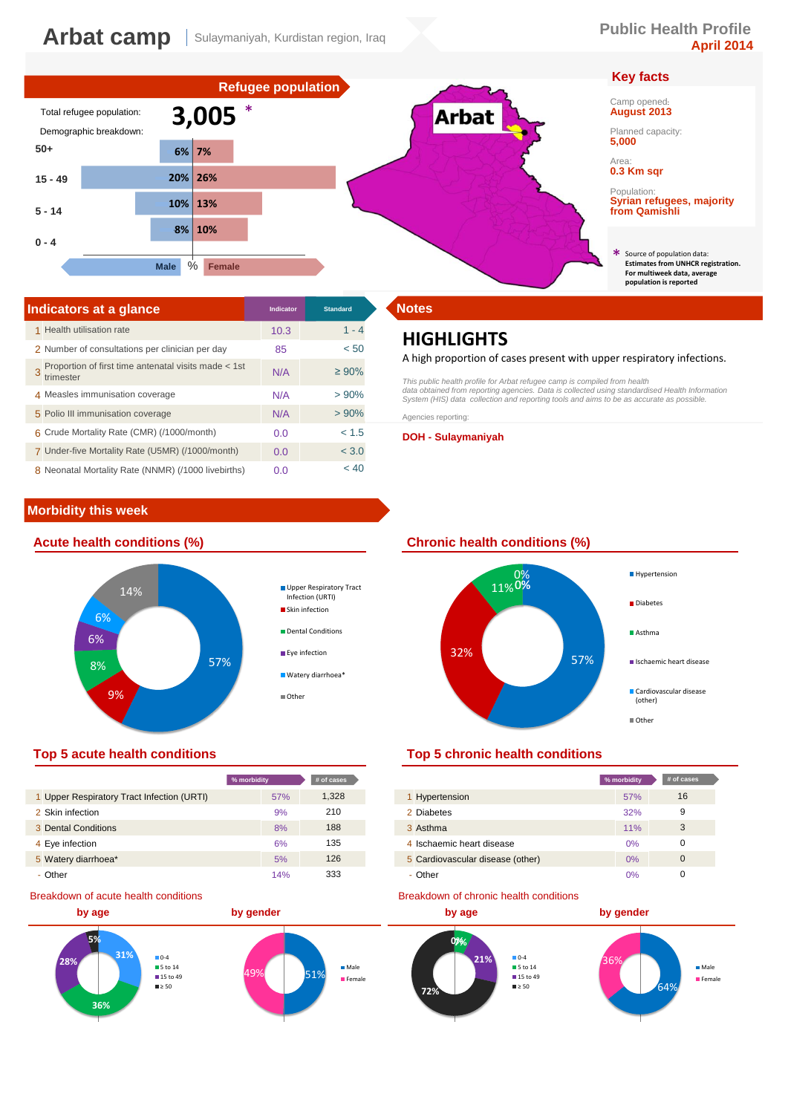# **Key facts**

# Camp opened: **August 2013**

Planned capacity: **5,000**

Area: **0.3 Km sqr**

Population: **Syrian refugees, majority from Qamishli**

Source of population data: **Estimates from UNHCR registration. For multiweek data, average population is reported** \*



| Indicators at a glance                                            | <b>Indicator</b> | <b>Standard</b> | <b>Notes</b>       |
|-------------------------------------------------------------------|------------------|-----------------|--------------------|
| 1 Health utilisation rate                                         | 10.3             | $1 - 4$         | HIG                |
| 2 Number of consultations per clinician per day                   | 85               | < 50            |                    |
| Proportion of first time antenatal visits made < 1st<br>trimester | N/A              | $\geq 90\%$     | A high<br>This pub |
| 4 Measles immunisation coverage                                   | N/A              | >90%            | data obt<br>System |
| 5 Polio III immunisation coverage                                 | N/A              | $> 90\%$        | Agencie:           |
| 6 Crude Mortality Rate (CMR) (/1000/month)                        | 0.0              | < 1.5           | DOH -              |
| 7 Under-five Mortality Rate (U5MR) (/1000/month)                  | 0.0              | < 3.0           |                    |
| 8 Neonatal Mortality Rate (NNMR) (/1000 livebirths)               | 0.0              | < 40            |                    |

# **Morbidity this week**



|                                            | % morbidity | # of cases |                                  |
|--------------------------------------------|-------------|------------|----------------------------------|
| 1 Upper Respiratory Tract Infection (URTI) | 57%         | 1,328      | Hypertension                     |
| 2 Skin infection                           | 9%          | 210        | 2 Diabetes                       |
| 3 Dental Conditions                        | 8%          | 188        | 3 Asthma                         |
| 4 Eye infection                            | 6%          | 135        | 4 Ischaemic heart disease        |
| 5 Watery diarrhoea*                        | 5%          | 126        | 5 Cardiovascular disease (other) |
| - Other                                    | 14%         | 333        | - Other                          |

### Breakdown of acute health conditions



# **HIGHLIGHTS**

### A high proportion of cases present with upper respiratory infections.

This public health profile for Arbat refugee camp is compiled from health<br>data obtained from reporting agencies. Data is collected using standardised Health Information<br>System (HIS) data collection and reporting tools and Agencies reporting:

**DOH - Sulaymaniyah**

## **Acute health conditions (%) Chronic health conditions (%)**



## **Top 5 acute health conditions Top 5 chronic health conditions**

| % morbidity |     | # of cases |                                  | % morbidity | # of cases  |
|-------------|-----|------------|----------------------------------|-------------|-------------|
|             | 57% | 1,328      | 1 Hypertension                   | 57%         | 16          |
|             | 9%  | 210        | 2 Diabetes                       | 32%         | 9           |
|             | 8%  | 188        | 3 Asthma                         | 11%         | 3           |
|             | 6%  | 135        | 4 Ischaemic heart disease        | $0\%$       | 0           |
|             | 5%  | 126        | 5 Cardiovascular disease (other) | $0\%$       | $\mathbf 0$ |
|             | 14% | 333        | - Other                          | 0%          |             |

### Breakdown of chronic health conditions

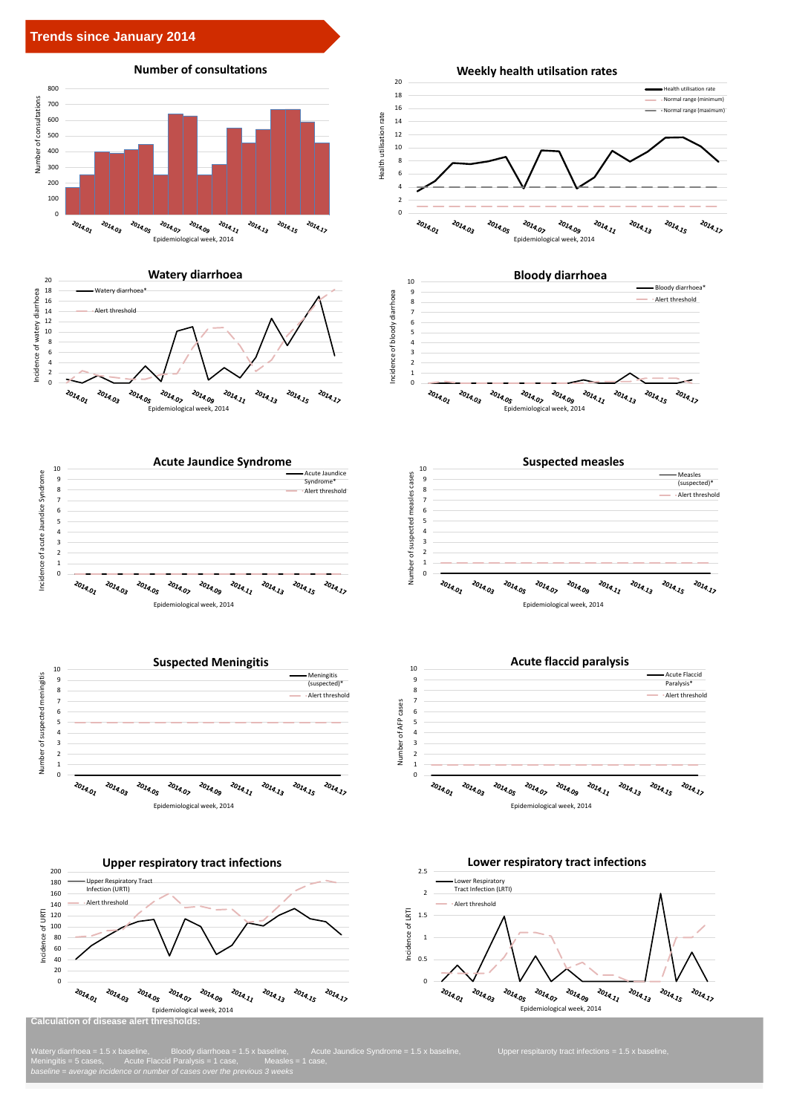





Meningitis = 5 cases, Acute Flaccid Paralysis = 1 case, Measles = 1 case, *baseline = average incidence or number of cases over the previous 3 weeks*



Epidemiological week, 2014

2014.07

2014.09

 $z_{0_{\tilde{I}q_{\cdot,\tilde{I}_{\tilde{\ell}}}}}$ 

2014.13

 $z_{0_{l_{4_{l_{5}}}}}$ 

2014.17

2014.01

2014.03

2014.05